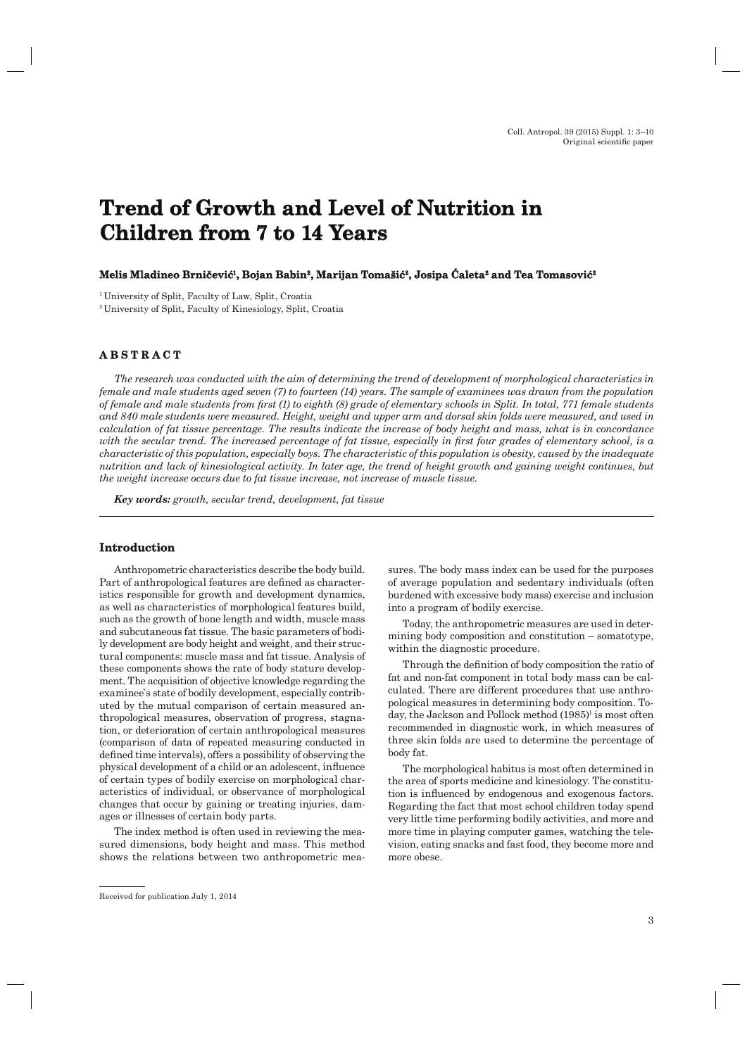# **Trend of Growth and Level of Nutrition in Children from 7 to 14 Years hildren**

#### **Melis Mladineo Brni elis čević1, Bojan Babin Babin2, Marijan Tomaši Tomašić2, Josipa Ćaleta2 and Tea Tomasovi ć<sup>2</sup>**

1 University of Split, Faculty of Law, Split, Croatia

2 University of Split, Faculty of Kinesiology, Split, Croatia

## **ABSTRACT B S T R A C T**

*The research was conducted with the aim of determining the trend of development of morphological characteristics in female and male students aged seven (7) to fourteen (14) years. The sample of examinees was drawn from the population of female and male students from first (1) to eighth (8) grade of elementary schools in Split. In total, 771 female students and 840 male students were measured. Height, weight and upper arm and dorsal skin folds were measured, and used in calculation of fat tissue percentage. The results indicate the increase of body height and mass, what is in concordance*  with the secular trend. The increased percentage of fat tissue, especially in first four grades of elementary school, is a *characteristic of this population, especially boys. The characteristic of this population is obesity, caused by the inadequate nutrition and lack of kinesiological activity. In later age, the trend of height growth and gaining weight continues, but the weight increase occurs due to fat tissue increase, not increase of muscle tissue.*

*Key words: growth, secular trend, development, fat tissue*

#### **Introduction ntroduction**

Anthropometric characteristics describe the body build. Part of anthropological features are defined as characteristics responsible for growth and development dynamics, as well as characteristics of morphological features build, such as the growth of bone length and width, muscle mass and subcutaneous fat tissue. The basic parameters of bodily development are body height and weight, and their structural components: muscle mass and fat tissue. Analysis of these components shows the rate of body stature development. The acquisition of objective knowledge regarding the examinee`s state of bodily development, especially contributed by the mutual comparison of certain measured anthropological measures, observation of progress, stagnation, or deterioration of certain anthropological measures (comparison of data of repeated measuring conducted in defined time intervals), offers a possibility of observing the physical development of a child or an adolescent, influence of certain types of bodily exercise on morphological characteristics of individual, or observance of morphological changes that occur by gaining or treating injuries, damages or illnesses of certain body parts.

The index method is often used in reviewing the measured dimensions, body height and mass. This method shows the relations between two anthropometric measures. The body mass index can be used for the purposes of average population and sedentary individuals (often burdened with excessive body mass) exercise and inclusion into a program of bodily exercise.

Today, the anthropometric measures are used in determining body composition and constitution – somatotype, within the diagnostic procedure.

Through the definition of body composition the ratio of fat and non-fat component in total body mass can be calculated. There are different procedures that use anthropological measures in determining body composition. Today, the Jackson and Pollock method  $(1985)^{1}$  is most often recommended in diagnostic work, in which measures of three skin folds are used to determine the percentage of body fat.

The morphological habitus is most often determined in the area of sports medicine and kinesiology. The constitution is influenced by endogenous and exogenous factors. Regarding the fact that most school children today spend very little time performing bodily activities, and more and more time in playing computer games, watching the television, eating snacks and fast food, they become more and more obese.

Received for publication July 1, 2014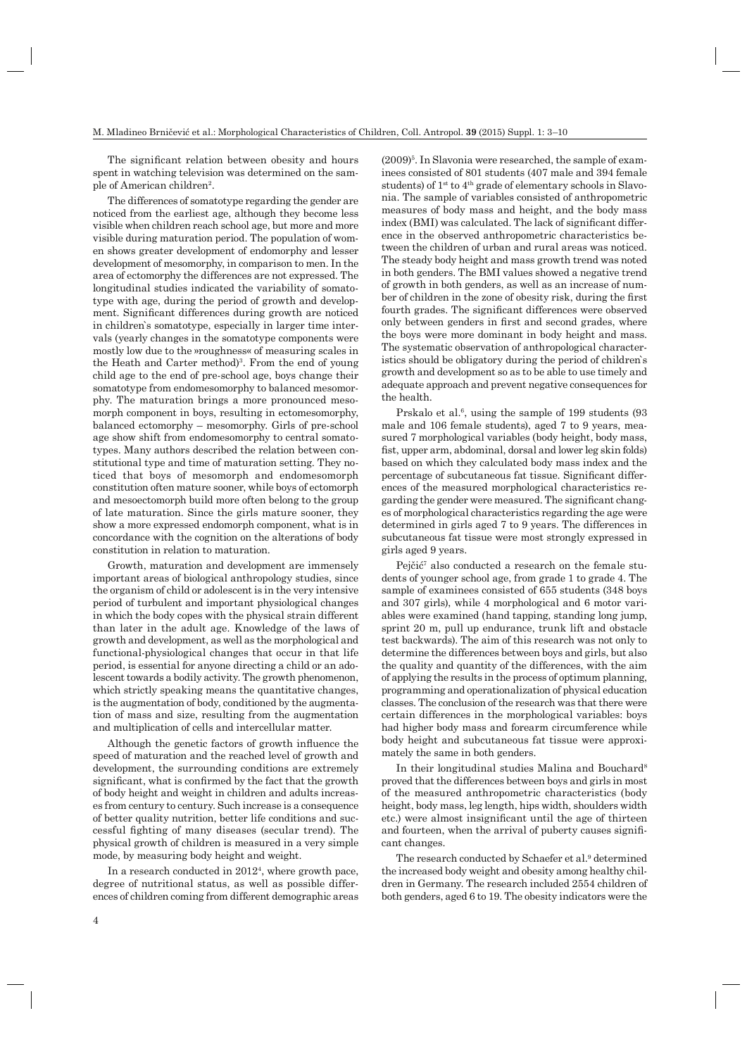The significant relation between obesity and hours spent in watching television was determined on the sample of American children2.

The differences of somatotype regarding the gender are noticed from the earliest age, although they become less visible when children reach school age, but more and more visible during maturation period. The population of women shows greater development of endomorphy and lesser development of mesomorphy, in comparison to men. In the area of ectomorphy the differences are not expressed. The longitudinal studies indicated the variability of somatotype with age, during the period of growth and development. Significant differences during growth are noticed in children`s somatotype, especially in larger time intervals (yearly changes in the somatotype components were mostly low due to the »roughness« of measuring scales in the Heath and Carter method)<sup>3</sup>. From the end of young child age to the end of pre-school age, boys change their somatotype from endomesomorphy to balanced mesomorphy. The maturation brings a more pronounced mesomorph component in boys, resulting in ectomesomorphy, balanced ectomorphy – mesomorphy. Girls of pre-school age show shift from endomesomorphy to central somatotypes. Many authors described the relation between constitutional type and time of maturation setting. They noticed that boys of mesomorph and endomesomorph constitution often mature sooner, while boys of ectomorph and mesoectomorph build more often belong to the group of late maturation. Since the girls mature sooner, they show a more expressed endomorph component, what is in concordance with the cognition on the alterations of body constitution in relation to maturation.

Growth, maturation and development are immensely important areas of biological anthropology studies, since the organism of child or adolescent is in the very intensive period of turbulent and important physiological changes in which the body copes with the physical strain different than later in the adult age. Knowledge of the laws of growth and development, as well as the morphological and functional-physiological changes that occur in that life period, is essential for anyone directing a child or an adolescent towards a bodily activity. The growth phenomenon, which strictly speaking means the quantitative changes, is the augmentation of body, conditioned by the augmentation of mass and size, resulting from the augmentation and multiplication of cells and intercellular matter.

Although the genetic factors of growth influence the speed of maturation and the reached level of growth and development, the surrounding conditions are extremely significant, what is confirmed by the fact that the growth of body height and weight in children and adults increases from century to century. Such increase is a consequence of better quality nutrition, better life conditions and successful fighting of many diseases (secular trend). The physical growth of children is measured in a very simple mode, by measuring body height and weight.

In a research conducted in 20124, where growth pace, degree of nutritional status, as well as possible differences of children coming from different demographic areas

 $(2009)^5$ . In Slavonia were researched, the sample of examinees consisted of 801 students (407 male and 394 female students) of 1<sup>st</sup> to 4<sup>th</sup> grade of elementary schools in Slavonia. The sample of variables consisted of anthropometric measures of body mass and height, and the body mass index (BMI) was calculated. The lack of significant difference in the observed anthropometric characteristics between the children of urban and rural areas was noticed. The steady body height and mass growth trend was noted in both genders. The BMI values showed a negative trend of growth in both genders, as well as an increase of number of children in the zone of obesity risk, during the first fourth grades. The significant differences were observed only between genders in first and second grades, where the boys were more dominant in body height and mass. The systematic observation of anthropological characteristics should be obligatory during the period of children`s growth and development so as to be able to use timely and adequate approach and prevent negative consequences for the health.

Prskalo et al.<sup>6</sup>, using the sample of 199 students (93) male and 106 female students), aged 7 to 9 years, measured 7 morphological variables (body height, body mass, fist, upper arm, abdominal, dorsal and lower leg skin folds) based on which they calculated body mass index and the percentage of subcutaneous fat tissue. Significant differences of the measured morphological characteristics regarding the gender were measured. The significant changes of morphological characteristics regarding the age were determined in girls aged 7 to 9 years. The differences in subcutaneous fat tissue were most strongly expressed in girls aged 9 years.

Pejčić<sup>7</sup> also conducted a research on the female students of younger school age, from grade 1 to grade 4. The sample of examinees consisted of 655 students (348 boys and 307 girls), while 4 morphological and 6 motor variables were examined (hand tapping, standing long jump, sprint 20 m, pull up endurance, trunk lift and obstacle test backwards). The aim of this research was not only to determine the differences between boys and girls, but also the quality and quantity of the differences, with the aim of applying the results in the process of optimum planning, programming and operationalization of physical education classes. The conclusion of the research was that there were certain differences in the morphological variables: boys had higher body mass and forearm circumference while body height and subcutaneous fat tissue were approximately the same in both genders.

In their longitudinal studies Malina and Bouchard<sup>8</sup> proved that the differences between boys and girls in most of the measured anthropometric characteristics (body height, body mass, leg length, hips width, shoulders width etc.) were almost insignificant until the age of thirteen and fourteen, when the arrival of puberty causes significant changes.

The research conducted by Schaefer et al.<sup>9</sup> determined the increased body weight and obesity among healthy children in Germany. The research included 2554 children of both genders, aged 6 to 19. The obesity indicators were the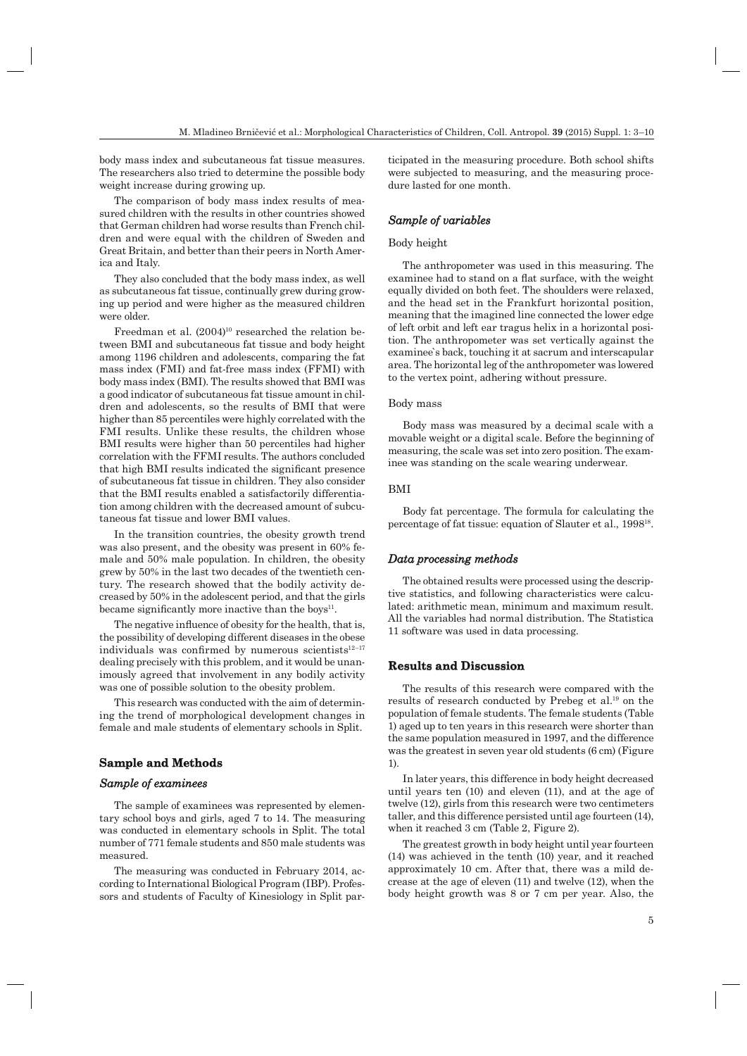body mass index and subcutaneous fat tissue measures. The researchers also tried to determine the possible body weight increase during growing up.

The comparison of body mass index results of measured children with the results in other countries showed that German children had worse results than French children and were equal with the children of Sweden and Great Britain, and better than their peers in North America and Italy.

They also concluded that the body mass index, as well as subcutaneous fat tissue, continually grew during growing up period and were higher as the measured children were older.

Freedman et al.  $(2004)^{10}$  researched the relation between BMI and subcutaneous fat tissue and body height among 1196 children and adolescents, comparing the fat mass index (FMI) and fat-free mass index (FFMI) with body mass index (BMI). The results showed that BMI was a good indicator of subcutaneous fat tissue amount in children and adolescents, so the results of BMI that were higher than 85 percentiles were highly correlated with the FMI results. Unlike these results, the children whose BMI results were higher than 50 percentiles had higher correlation with the FFMI results. The authors concluded that high BMI results indicated the significant presence of subcutaneous fat tissue in children. They also consider that the BMI results enabled a satisfactorily differentiation among children with the decreased amount of subcutaneous fat tissue and lower BMI values.

In the transition countries, the obesity growth trend was also present, and the obesity was present in 60% female and 50% male population. In children, the obesity grew by 50% in the last two decades of the twentieth century. The research showed that the bodily activity decreased by 50% in the adolescent period, and that the girls became significantly more inactive than the boys $11$ .

The negative influence of obesity for the health, that is, the possibility of developing different diseases in the obese individuals was confirmed by numerous scientists $12-17$ dealing precisely with this problem, and it would be unanimously agreed that involvement in any bodily activity was one of possible solution to the obesity problem.

This research was conducted with the aim of determining the trend of morphological development changes in female and male students of elementary schools in Split.

## **Sample and Methods ample**

## *Sample of examinees ample*

The sample of examinees was represented by elementary school boys and girls, aged 7 to 14. The measuring was conducted in elementary schools in Split. The total number of 771 female students and 850 male students was measured.

The measuring was conducted in February 2014, according to International Biological Program (IBP). Professors and students of Faculty of Kinesiology in Split participated in the measuring procedure. Both school shifts were subjected to measuring, and the measuring procedure lasted for one month.

## *Sample of variables ample*

#### Body height

The anthropometer was used in this measuring. The examinee had to stand on a flat surface, with the weight equally divided on both feet. The shoulders were relaxed, and the head set in the Frankfurt horizontal position, meaning that the imagined line connected the lower edge of left orbit and left ear tragus helix in a horizontal position. The anthropometer was set vertically against the examinee`s back, touching it at sacrum and interscapular area. The horizontal leg of the anthropometer was lowered to the vertex point, adhering without pressure.

#### Body mass

Body mass was measured by a decimal scale with a movable weight or a digital scale. Before the beginning of measuring, the scale was set into zero position. The examinee was standing on the scale wearing underwear.

#### BMI

Body fat percentage. The formula for calculating the percentage of fat tissue: equation of Slauter et al., 199818.

#### *Data processing methods ata*

The obtained results were processed using the descriptive statistics, and following characteristics were calculated: arithmetic mean, minimum and maximum result. All the variables had normal distribution. The Statistica 11 software was used in data processing.

## **Results and Discussion**

The results of this research were compared with the results of research conducted by Prebeg et al.19 on the population of female students. The female students (Table 1) aged up to ten years in this research were shorter than the same population measured in 1997, and the difference was the greatest in seven year old students (6 cm) (Figure 1).

In later years, this difference in body height decreased until years ten (10) and eleven (11), and at the age of twelve (12), girls from this research were two centimeters taller, and this difference persisted until age fourteen (14), when it reached 3 cm (Table 2, Figure 2).

The greatest growth in body height until year fourteen (14) was achieved in the tenth (10) year, and it reached approximately 10 cm. After that, there was a mild decrease at the age of eleven (11) and twelve (12), when the body height growth was 8 or 7 cm per year. Also, the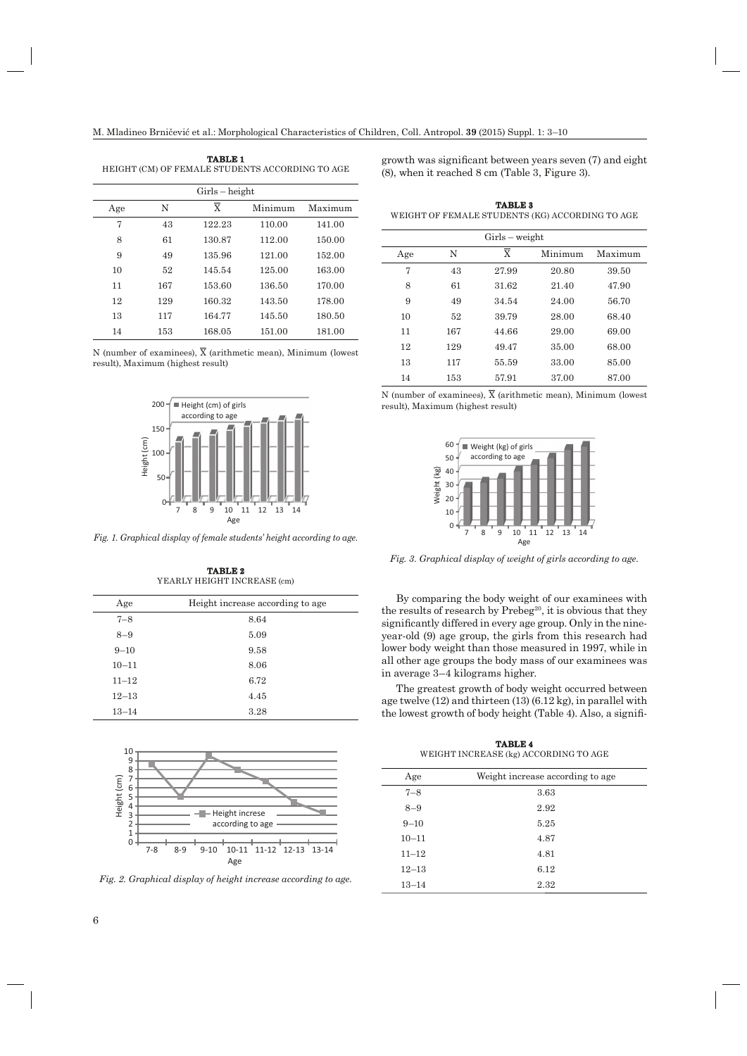| <b>TABLE 1</b>                                  |
|-------------------------------------------------|
| HEIGHT (CM) OF FEMALE STUDENTS ACCORDING TO AGE |
|                                                 |

| $Girls - height$ |     |                |         |         |  |
|------------------|-----|----------------|---------|---------|--|
| Age              | N   | $\overline{X}$ | Minimum | Maximum |  |
| 7                | 43  | 122.23         | 110.00  | 141.00  |  |
| 8                | 61  | 130.87         | 112.00  | 150.00  |  |
| 9                | 49  | 135.96         | 121.00  | 152.00  |  |
| 10               | 52  | 145.54         | 125.00  | 163.00  |  |
| 11               | 167 | 153.60         | 136.50  | 170.00  |  |
| 12               | 129 | 160.32         | 143.50  | 178.00  |  |
| 13               | 117 | 164.77         | 145.50  | 180.50  |  |
| 14               | 153 | 168.05         | 151.00  | 181.00  |  |

N (number of examinees),  $\overline{X}$  (arithmetic mean), Minimum (lowest result), Maximum (highest result)



*Fig. 1. Graphical display of female students' height according to age.*

| Age       | Height increase according to age |
|-----------|----------------------------------|
| $7 - 8$   | 8.64                             |
| $8 - 9$   | 5.09                             |
| $9 - 10$  | 9.58                             |
| $10 - 11$ | 8.06                             |
| $11 - 12$ | 6.72                             |
| $12 - 13$ | 4.45                             |
| $13 - 14$ | 3.28                             |

**TABLE 2** YEARLY HEIGHT INCREASE (cm)



*Fig. 2. Graphical display of height increase according to age.*

growth was significant between years seven  $(7)$  and eight (8), when it reached 8 cm (Table 3, Figure 3).

| <b>TABLE 3</b>                                  |
|-------------------------------------------------|
| WEIGHT OF FEMALE STUDENTS (KG) ACCORDING TO AGE |

| $Girls - weight$ |        |                         |         |         |  |
|------------------|--------|-------------------------|---------|---------|--|
| Age              | N      | $\overline{\mathbf{X}}$ | Minimum | Maximum |  |
| 7                | 43     | 27.99                   | 20.80   | 39.50   |  |
| 8                | 61     | 31.62                   | 21.40   | 47.90   |  |
| 9                | 49     | 34.54                   | 24.00   | 56.70   |  |
| 10               | $52\,$ | 39.79                   | 28.00   | 68.40   |  |
| 11               | 167    | 44.66                   | 29.00   | 69.00   |  |
| 12               | 129    | 49.47                   | 35.00   | 68.00   |  |
| 13               | 117    | 55.59                   | 33.00   | 85.00   |  |
| 14               | 153    | 57.91                   | 37.00   | 87.00   |  |

N (number of examinees),  $\overline{X}$  (arithmetic mean), Minimum (lowest result), Maximum (highest result)



*Fig. 3. Graphical display of weight of girls according to age.*

By comparing the body weight of our examinees with the results of research by  $Prebeg^{20}$ , it is obvious that they significantly differed in every age group. Only in the nineyear-old (9) age group, the girls from this research had lower body weight than those measured in 1997, while in all other age groups the body mass of our examinees was in average 3–4 kilograms higher.

The greatest growth of body weight occurred between age twelve (12) and thirteen (13) (6.12 kg), in parallel with the lowest growth of body height (Table 4). Also, a signifi-

**TABLE 4** WEIGHT INCREASE (kg) ACCORDING TO AGE

| Age       | Weight increase according to age |
|-----------|----------------------------------|
| $7 - 8$   | 3.63                             |
| $8 - 9$   | 2.92                             |
| $9 - 10$  | 5.25                             |
| $10 - 11$ | 4.87                             |
| $11 - 12$ | 4.81                             |
| $12 - 13$ | 6.12                             |
| $13 - 14$ | 2.32                             |
|           |                                  |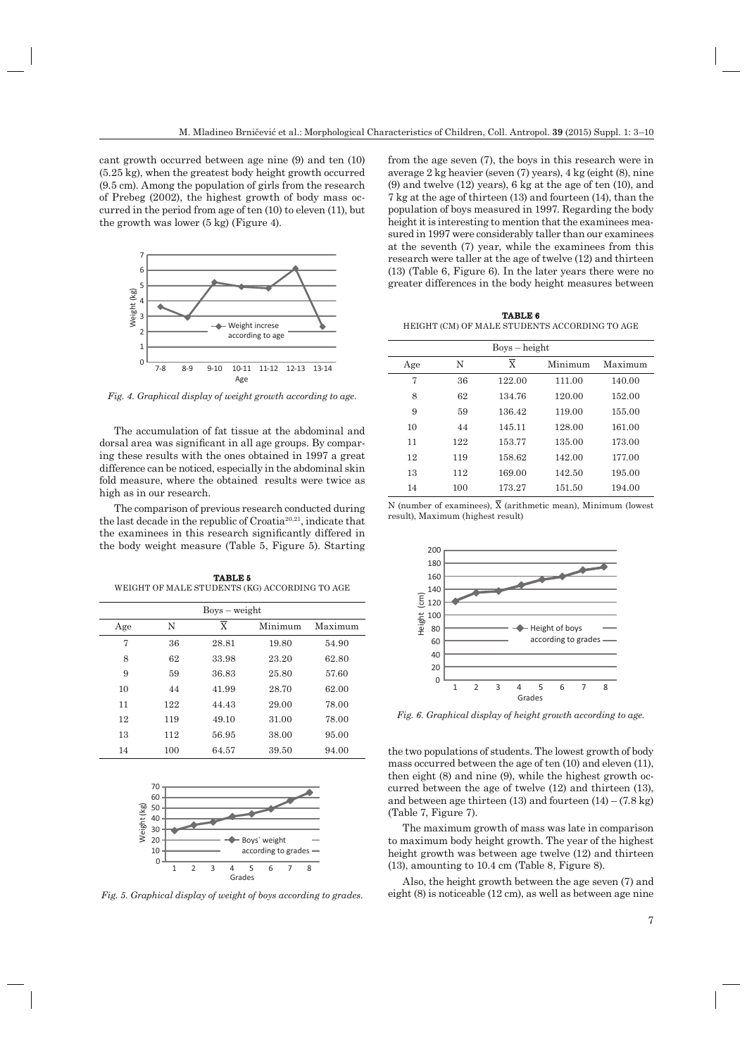cant growth occurred between age nine (9) and ten (10) (5.25 kg), when the greatest body height growth occurred (9.5 cm). Among the population of girls from the research of Prebeg (2002), the highest growth of body mass occurred in the period from age of ten (10) to eleven (11), but the growth was lower (5 kg) (Figure 4).



*Fig. 4. Graphical display of weight growth according to age.*

The accumulation of fat tissue at the abdominal and dorsal area was significant in all age groups. By comparing these results with the ones obtained in 1997 a great difference can be noticed, especially in the abdominal skin fold measure, where the obtained results were twice as high as in our research.

The comparison of previous research conducted during the last decade in the republic of Croatia20,21, indicate that the examinees in this research significantly differed in the body weight measure (Table 5, Figure 5). Starting

**TABLE 5** WEIGHT OF MALE STUDENTS (KG) ACCORDING TO AGE

| $Boys - weight$ |     |                         |         |         |  |
|-----------------|-----|-------------------------|---------|---------|--|
| Age             | N   | $\overline{\mathbf{x}}$ | Minimum | Maximum |  |
| 7               | 36  | 28.81                   | 19.80   | 54.90   |  |
| 8               | 62  | 33.98                   | 23.20   | 62.80   |  |
| 9               | 59  | 36.83                   | 25.80   | 57.60   |  |
| 10              | 44  | 41.99                   | 28.70   | 62.00   |  |
| 11              | 122 | 44.43                   | 29.00   | 78.00   |  |
| 12              | 119 | 49.10                   | 31.00   | 78.00   |  |
| 13              | 112 | 56.95                   | 38.00   | 95.00   |  |
| 14              | 100 | 64.57                   | 39.50   | 94.00   |  |



*Fig. 5. Graphical display of weight of boys according to grades.*

from the age seven (7), the boys in this research were in average 2 kg heavier (seven (7) years), 4 kg (eight (8), nine (9) and twelve (12) years), 6 kg at the age of ten (10), and 7 kg at the age of thirteen (13) and fourteen (14), than the population of boys measured in 1997. Regarding the body height it is interesting to mention that the examinees measured in 1997 were considerably taller than our examinees at the seventh (7) year, while the examinees from this research were taller at the age of twelve (12) and thirteen (13) (Table 6, Figure 6). In the later years there were no greater differences in the body height measures between

**TABLE 6** HEIGHT (CM) OF MALE STUDENTS ACCORDING TO AGE

| $Boys - height$ |     |        |         |         |  |
|-----------------|-----|--------|---------|---------|--|
| Age             | N   | X      | Minimum | Maximum |  |
| 7               | 36  | 122.00 | 111.00  | 140.00  |  |
| 8               | 62  | 134.76 | 120.00  | 152.00  |  |
| 9               | 59  | 136.42 | 119.00  | 155.00  |  |
| 10              | 44  | 145.11 | 128.00  | 161.00  |  |
| 11              | 122 | 153.77 | 135.00  | 173.00  |  |
| 12              | 119 | 158.62 | 142.00  | 177.00  |  |
| 13              | 112 | 169.00 | 142.50  | 195.00  |  |
| 14              | 100 | 173.27 | 151.50  | 194.00  |  |

N (number of examinees),  $\overline{X}$  (arithmetic mean), Minimum (lowest result), Maximum (highest result)



*Fig. 6. Graphical display of height growth according to age.*

the two populations of students. The lowest growth of body mass occurred between the age of ten (10) and eleven (11), then eight (8) and nine (9), while the highest growth occurred between the age of twelve (12) and thirteen (13), and between age thirteen  $(13)$  and fourteen  $(14) - (7.8 \text{ kg})$ (Table 7, Figure 7).

The maximum growth of mass was late in comparison to maximum body height growth. The year of the highest height growth was between age twelve (12) and thirteen (13), amounting to 10.4 cm (Table 8, Figure 8).

Also, the height growth between the age seven (7) and eight (8) is noticeable (12 cm), as well as between age nine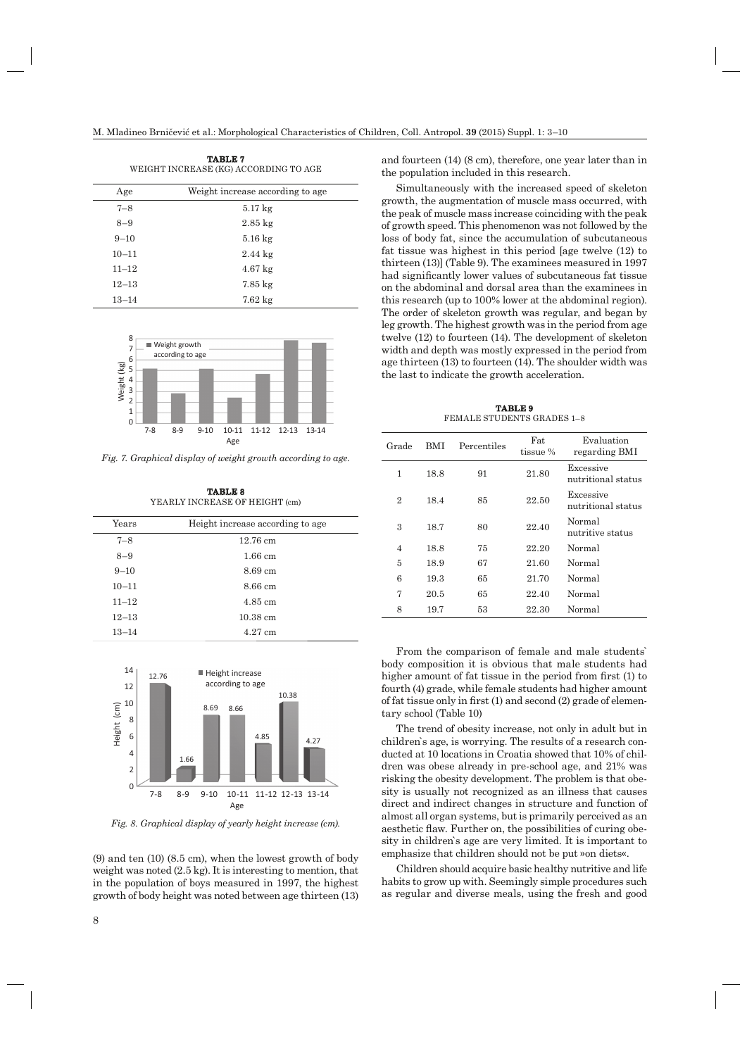| 1АВИВ 1<br>WEIGHT INCREASE (KG) ACCORDING TO AGE |                                   |  |  |  |
|--------------------------------------------------|-----------------------------------|--|--|--|
| Age                                              | Weight increase according to age. |  |  |  |
| $7 - 8$                                          | $5.17 \text{ kg}$                 |  |  |  |
| $8 - 9$                                          | $2.85 \text{ kg}$                 |  |  |  |
| $9 - 10$                                         | $5.16 \text{ kg}$                 |  |  |  |
| $10 - 11$                                        | $2.44 \text{ kg}$                 |  |  |  |
| $11 - 12$                                        | $4.67 \text{ kg}$                 |  |  |  |
| $12 - 13$                                        | $7.85 \text{ kg}$                 |  |  |  |
| $13 - 14$                                        | $7.62\ \mathrm{kg}$               |  |  |  |

**TABLE 7**



*Fig. 7. Graphical display of weight growth according to age.*

**TABLE 8** YEARLY INCREASE OF HEIGHT (cm)

| $\rm Years$ | Height increase according to age |  |
|-------------|----------------------------------|--|
| $7 - 8$     | $12.76 \text{ cm}$               |  |
| $8 - 9$     | $1.66$ cm                        |  |
| $9 - 10$    | 8.69 cm                          |  |
| $10 - 11$   | 8.66 cm                          |  |
| $11 - 12$   | $4.85 \text{ cm}$                |  |
| $12 - 13$   | $10.38 \text{ cm}$               |  |
| $13 - 14$   | $4.27$ cm                        |  |



*Fig. 8. Graphical display of yearly height increase (cm).*

(9) and ten (10) (8.5 cm), when the lowest growth of body weight was noted (2.5 kg). It is interesting to mention, that in the population of boys measured in 1997, the highest growth of body height was noted between age thirteen (13) and fourteen (14) (8 cm), therefore, one year later than in the population included in this research.

Simultaneously with the increased speed of skeleton growth, the augmentation of muscle mass occurred, with the peak of muscle mass increase coinciding with the peak of growth speed. This phenomenon was not followed by the loss of body fat, since the accumulation of subcutaneous fat tissue was highest in this period [age twelve (12) to thirteen (13)] (Table 9). The examinees measured in 1997 had significantly lower values of subcutaneous fat tissue on the abdominal and dorsal area than the examinees in this research (up to 100% lower at the abdominal region). The order of skeleton growth was regular, and began by leg growth. The highest growth was in the period from age twelve (12) to fourteen (14). The development of skeleton width and depth was mostly expressed in the period from age thirteen (13) to fourteen (14). The shoulder width was the last to indicate the growth acceleration.

**TABLE 9** FEMALE STUDENTS GRADES 1–8

| Grade          | BMI  | Percentiles | Fat<br>tissue % | Evaluation<br>regarding BMI     |
|----------------|------|-------------|-----------------|---------------------------------|
| 1              | 18.8 | 91          | 21.80           | Excessive<br>nutritional status |
| 2              | 18.4 | 85          | 22.50           | Excessive<br>nutritional status |
| 3              | 18.7 | 80          | 22.40           | Normal<br>nutritive status      |
| $\overline{4}$ | 18.8 | 75          | 22.20           | Normal                          |
| 5              | 18.9 | 67          | 21.60           | Normal                          |
| 6              | 19.3 | 65          | 21.70           | Normal                          |
| 7              | 20.5 | 65          | 22.40           | Normal                          |
| 8              | 19.7 | 53          | 22.30           | Normal                          |

From the comparison of female and male students` body composition it is obvious that male students had higher amount of fat tissue in the period from first (1) to fourth (4) grade, while female students had higher amount of fat tissue only in first  $(1)$  and second  $(2)$  grade of elementary school (Table 10)

The trend of obesity increase, not only in adult but in children`s age, is worrying. The results of a research conducted at 10 locations in Croatia showed that 10% of children was obese already in pre-school age, and 21% was risking the obesity development. The problem is that obesity is usually not recognized as an illness that causes direct and indirect changes in structure and function of almost all organ systems, but is primarily perceived as an aesthetic flaw. Further on, the possibilities of curing obesity in children`s age are very limited. It is important to emphasize that children should not be put »on diets«.

Children should acquire basic healthy nutritive and life habits to grow up with. Seemingly simple procedures such as regular and diverse meals, using the fresh and good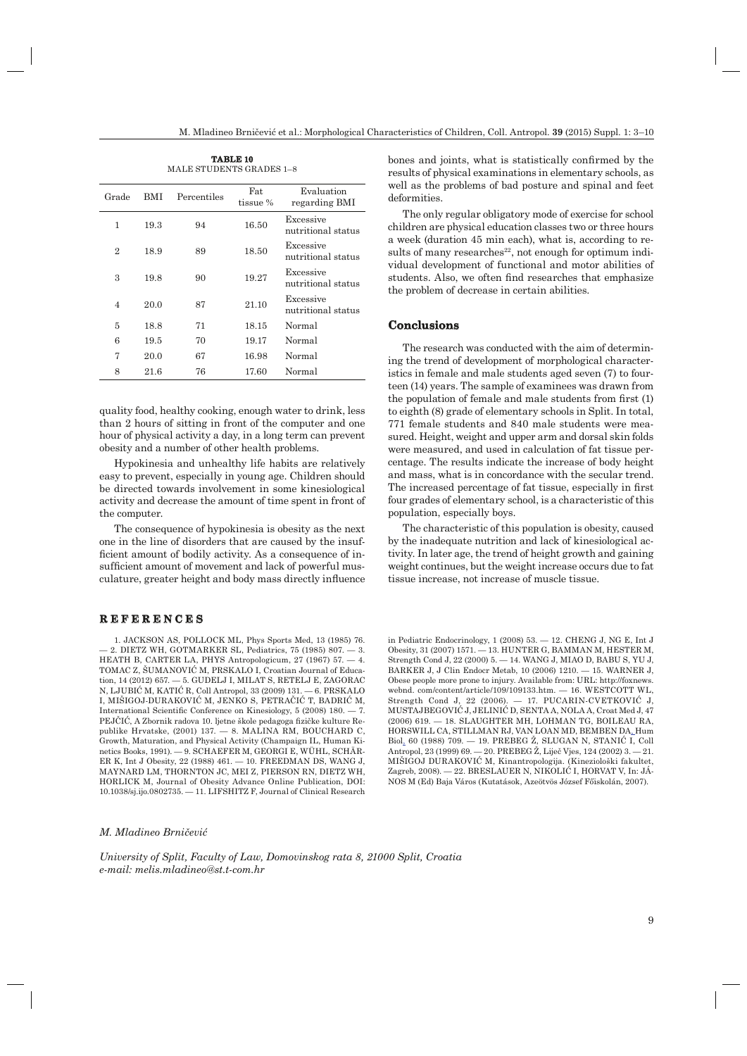**TABLE 10** MALE STUDENTS GRADES 1–8

| Grade          | BMI  | Percentiles | Fat<br>tissue % | Evaluation<br>regarding BMI     |
|----------------|------|-------------|-----------------|---------------------------------|
| 1              | 19.3 | 94          | 16.50           | Excessive<br>nutritional status |
| $\overline{2}$ | 18.9 | 89          | 18.50           | Excessive<br>nutritional status |
| 3              | 19.8 | 90          | 19.27           | Excessive<br>nutritional status |
| $\overline{4}$ | 20.0 | 87          | 21.10           | Excessive<br>nutritional status |
| 5              | 18.8 | 71          | 18.15           | Normal                          |
| 6              | 19.5 | 70          | 19.17           | Normal                          |
| 7              | 20.0 | 67          | 16.98           | Normal                          |
| 8              | 21.6 | 76          | 17.60           | Normal                          |

quality food, healthy cooking, enough water to drink, less than 2 hours of sitting in front of the computer and one hour of physical activity a day, in a long term can prevent obesity and a number of other health problems.

Hypokinesia and unhealthy life habits are relatively easy to prevent, especially in young age. Children should be directed towards involvement in some kinesiological activity and decrease the amount of time spent in front of the computer.

The consequence of hypokinesia is obesity as the next one in the line of disorders that are caused by the insufficient amount of bodily activity. As a consequence of insufficient amount of movement and lack of powerful musculature, greater height and body mass directly influence

#### **REFERENCES E F E R E N C E S**

1. JACKSON AS, POLLOCK ML, Phys Sports Med, 13 (1985) 76. — 2. DIETZ WH, GOTMARKER SL, Pediatrics, 75 (1985) 807. — 3. HEATH B, CARTER LA, PHYS Antropologicum, 27 (1967) 57. — 4. TOMAC Z, ŠUMANOVIĆ M, PRSKALO I, Croatian Journal of Education, 14 (2012) 657. — 5. GUDELJ I, MILAT S, RETELJ E, ZAGORAC N, LJUBIĆ M, KATIĆ R, Coll Antropol, 33 (2009) 131. — 6. PRSKALO I, MIŠIGOJ-DURAKOVIĆ M, JENKO S, PETRAČIĆ T, BADRIĆ M, International Scientific Conference on Kinesiology,  $5(2008)$  180. - 7. PEJČIĆ, A Zbornik radova 10. ljetne škole pedagoga fizičke kulture Republike Hrvatske, (2001) 137. — 8. MALINA RM, BOUCHARD C, Growth, Maturation, and Physical Activity (Champaign IL, Human Kinetics Books, 1991). — 9. SCHAEFER M, GEORGI E, WÜHL, SCHÄR-ER K, Int J Obesity, 22 (1988) 461. — 10. FREEDMAN DS, WANG J, MAYNARD LM, THORNTON JC, MEI Z, PIERSON RN, DIETZ WH, HORLICK M, Journal of Obesity Advance Online Publication, DOI: 10.1038/sj.ijo.0802735. — 11. LIFSHITZ F, Journal of Clinical Research bones and joints, what is statistically confirmed by the results of physical examinations in elementary schools, as well as the problems of bad posture and spinal and feet deformities.

The only regular obligatory mode of exercise for school children are physical education classes two or three hours a week (duration 45 min each), what is, according to results of many researches<sup>22</sup>, not enough for optimum individual development of functional and motor abilities of students. Also, we often find researches that emphasize the problem of decrease in certain abilities.

### **Conclusions onclusions**

The research was conducted with the aim of determining the trend of development of morphological characteristics in female and male students aged seven (7) to fourteen (14) years. The sample of examinees was drawn from the population of female and male students from first  $(1)$ to eighth (8) grade of elementary schools in Split. In total, 771 female students and 840 male students were measured. Height, weight and upper arm and dorsal skin folds were measured, and used in calculation of fat tissue percentage. The results indicate the increase of body height and mass, what is in concordance with the secular trend. The increased percentage of fat tissue, especially in first four grades of elementary school, is a characteristic of this population, especially boys.

The characteristic of this population is obesity, caused by the inadequate nutrition and lack of kinesiological activity. In later age, the trend of height growth and gaining weight continues, but the weight increase occurs due to fat tissue increase, not increase of muscle tissue.

in Pediatric Endocrinology, 1 (2008) 53.  $-$  12. CHENG J, NG E, Int J Obesity, 31 (2007) 1571. — 13. HUNTER G, BAMMAN M, HESTER M, Strength Cond J, 22 (2000) 5. — 14. WANG J, MIAO D, BABU S, YU J, BARKER J, J Clin Endocr Metab, 10 (2006) 1210. — 15. WARNER J, Obese people more prone to injury. Available from: URL: http://foxnews. webnd. com/content/article/109/109133.htm. — 16. WESTCOTT WL, Strength Cond J, 22 (2006). — 17. PUCARIN-CVETKOVIĆ J, MUSTAJBEGOVIĆ J, JELINIĆ D, SENTA A, NOLA A, Croat Med J, 47 (2006) 619. — 18. SLAUGHTER MH, LOHMAN TG, BOILEAU RA, HORSWILL CA, STILLMAN RJ, VAN LOAN MD, BEMBEN DA, Hum Biol, 60 (1988) 709. — 19. PREBEG Ž, SLUGAN N, STANIĆ I, Coll Antropol, 23 (1999) 69. — 20. PREBEG Ž, Liječ Vjes, 124 (2002) 3. — 21. MIŠIGOJ DURAKOVIĆ M, Kinantropologija. (Kineziološki fakultet, Zagreb, 2008). — 22. BRESLAUER N, NIKOLIĆ I, HORVAT V, In: JÁ-NOS M (Ed) Baja Város (Kutatások, Azeötvös József Főiskolán, 2007).

#### *M. Mladineo Brničević*

*University of Split, Faculty of Law, Domovinskog rata 8, 21000 Split, Croatia e-mail: melis.mladineo@st.t-com.hr*